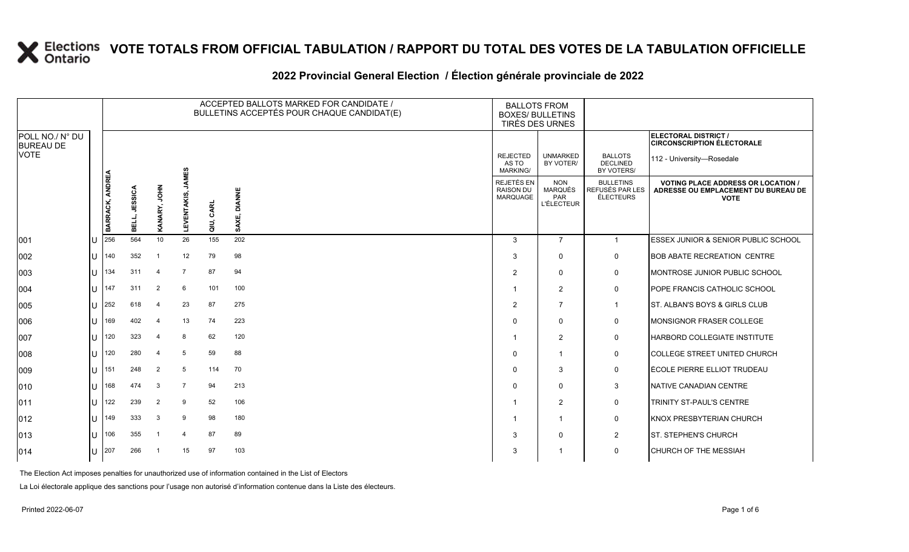#### **2022 Provincial General Election / Élection générale provinciale de 2022**

|                                     |              |                 |               |                |                             |              | ACCEPTED BALLOTS MARKED FOR CANDIDATE /<br>BULLETINS ACCEPTÉS POUR CHAQUE CANDIDAT(E) | <b>BALLOTS FROM</b><br><b>BOXES/ BULLETINS</b> | TIRÉS DES URNES                                          |                                                  |                                                                                                 |
|-------------------------------------|--------------|-----------------|---------------|----------------|-----------------------------|--------------|---------------------------------------------------------------------------------------|------------------------------------------------|----------------------------------------------------------|--------------------------------------------------|-------------------------------------------------------------------------------------------------|
| POLL NO./ N° DU<br><b>BUREAU DE</b> |              |                 |               |                |                             |              |                                                                                       |                                                |                                                          |                                                  | ELECTORAL DISTRICT /<br><b>CIRCONSCRIPTION ÉLECTORALE</b>                                       |
| <b>VOTE</b>                         |              |                 |               |                |                             |              |                                                                                       | <b>REJECTED</b><br>AS TO<br><b>MARKING/</b>    | <b>UNMARKED</b><br>BY VOTER/                             | <b>BALLOTS</b><br><b>DECLINED</b><br>BY VOTERS/  | 112 - University-Rosedale                                                                       |
|                                     |              | BARRACK, ANDREA | BELL, JESSICA | KANARY, JOHN   | <b>JAMES</b><br>LEVENTAKIS, | CARL<br>aiu, | <b>DIANNE</b><br>SAXE,                                                                | REJETÉS EN<br><b>RAISON DU</b><br>MARQUAGE     | <b>NON</b><br><b>MARQUÉS</b><br>PAR<br><b>L'ÉLECTEUR</b> | <b>BULLETINS</b><br>REFUSÉS PAR LES<br>ÉLECTEURS | <b>VOTING PLACE ADDRESS OR LOCATION /</b><br>ADRESSE OU EMPLACEMENT DU BUREAU DE<br><b>VOTE</b> |
| 001                                 | U            | 256             | 564           | 10             | 26                          | 155          | 202                                                                                   | 3                                              | $\overline{7}$                                           | $\overline{1}$                                   | ESSEX JUNIOR & SENIOR PUBLIC SCHOOL                                                             |
| 002                                 | U            | 140             | 352           | -1             | 12                          | 79           | 98                                                                                    | 3                                              | $\mathbf 0$                                              | $\mathbf 0$                                      | <b>BOB ABATE RECREATION CENTRE</b>                                                              |
| 003                                 | $\mathbf{U}$ | 134             | 311           | $\overline{4}$ | $\overline{7}$              | 87           | 94                                                                                    | 2                                              | $\mathbf 0$                                              | $\pmb{0}$                                        | MONTROSE JUNIOR PUBLIC SCHOOL                                                                   |
| 004                                 |              | $U$  147        | 311           | 2              | 6                           | 101          | 100                                                                                   |                                                | $\overline{2}$                                           | $\mathbf 0$                                      | POPE FRANCIS CATHOLIC SCHOOL                                                                    |
| 005                                 | U            | 252             | 618           | $\overline{4}$ | 23                          | 87           | 275                                                                                   | 2                                              | $\overline{7}$                                           | $\overline{1}$                                   | ST. ALBAN'S BOYS & GIRLS CLUB                                                                   |
| 006                                 | U            | 169             | 402           | $\overline{4}$ | 13                          | 74           | 223                                                                                   | $\Omega$                                       | $\mathbf 0$                                              | 0                                                | MONSIGNOR FRASER COLLEGE                                                                        |
| 007                                 | U            | 120             | 323           | $\overline{4}$ | 8                           | 62           | 120                                                                                   |                                                | $\overline{2}$                                           | $\mathbf 0$                                      | <b>HARBORD COLLEGIATE INSTITUTE</b>                                                             |
| 008                                 | U            | 120             | 280           | $\overline{4}$ | 5                           | 59           | 88                                                                                    | $\Omega$                                       | -1                                                       | 0                                                | COLLEGE STREET UNITED CHURCH                                                                    |
| 009                                 |              | $1J$ 151        | 248           | 2              | 5                           | 114          | 70                                                                                    | $\Omega$                                       | 3                                                        | 0                                                | ÉCOLE PIERRE ELLIOT TRUDEAU                                                                     |
| 010                                 | $\mathbf{U}$ | 168             | 474           | 3              | $\overline{7}$              | 94           | 213                                                                                   | $\Omega$                                       | $\Omega$                                                 | $\mathbf{3}$                                     | NATIVE CANADIAN CENTRE                                                                          |
| 011                                 | U            | 122             | 239           | 2              | 9                           | 52           | 106                                                                                   |                                                | $\overline{2}$                                           | 0                                                | TRINITY ST-PAUL'S CENTRE                                                                        |
| $ 012\rangle$                       |              | $1J$ 149        | 333           | 3              | 9                           | 98           | 180                                                                                   |                                                | $\overline{1}$                                           | 0                                                | <b>KNOX PRESBYTERIAN CHURCH</b>                                                                 |
| 013                                 | U            | 106             | 355           | $\overline{1}$ | $\overline{4}$              | 87           | 89                                                                                    | 3                                              | $\mathbf 0$                                              | $\overline{2}$                                   | <b>ST. STEPHEN'S CHURCH</b>                                                                     |
| 014                                 |              | $U$ 207         | 266           |                | 15                          | 97           | 103                                                                                   | 3                                              |                                                          | $\mathbf 0$                                      | <b>CHURCH OF THE MESSIAH</b>                                                                    |

The Election Act imposes penalties for unauthorized use of information contained in the List of Electors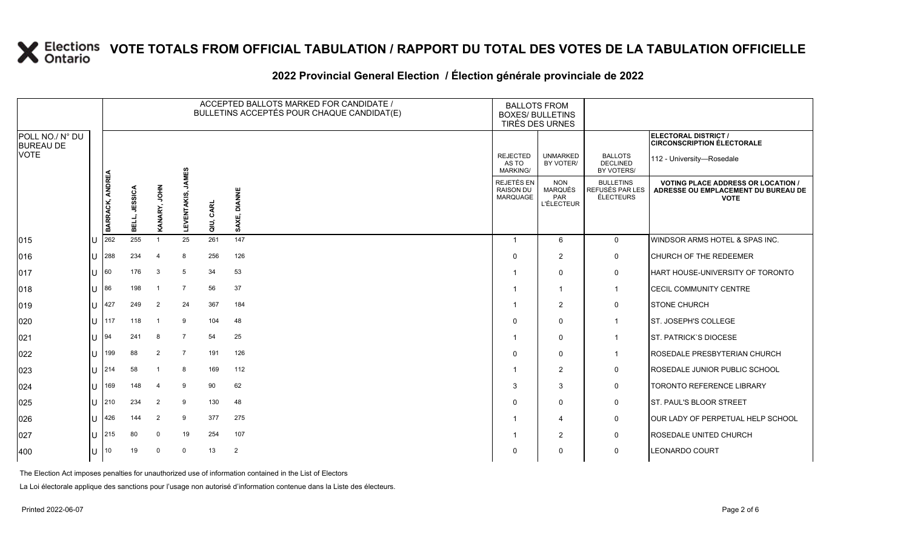### **2022 Provincial General Election / Élection générale provinciale de 2022**

|                                     |                  |                 | ACCEPTED BALLOTS MARKED FOR CANDIDATE /<br><b>BALLOTS FROM</b><br>BULLETINS ACCEPTÉS POUR CHAQUE CANDIDAT(E)<br><b>BOXES/ BULLETINS</b><br>TIRÉS DES URNES |                |                             |           |                |                                                          |                                                          |                                                  |                                                                                                 |
|-------------------------------------|------------------|-----------------|------------------------------------------------------------------------------------------------------------------------------------------------------------|----------------|-----------------------------|-----------|----------------|----------------------------------------------------------|----------------------------------------------------------|--------------------------------------------------|-------------------------------------------------------------------------------------------------|
| POLL NO./ N° DU<br><b>BUREAU DE</b> |                  |                 |                                                                                                                                                            |                |                             |           |                |                                                          |                                                          |                                                  | ELECTORAL DISTRICT /<br><b>CIRCONSCRIPTION ÉLECTORALE</b>                                       |
| <b>VOTE</b>                         |                  |                 |                                                                                                                                                            |                |                             |           |                | <b>REJECTED</b><br>AS TO<br><b>MARKING/</b>              | <b>UNMARKED</b><br>BY VOTER/                             | <b>BALLOTS</b><br><b>DECLINED</b><br>BY VOTERS/  | 112 - University-Rosedale                                                                       |
|                                     |                  | BARRACK, ANDREA | BELL, JESSICA                                                                                                                                              | KANARY, JOHN   | <b>JAMES</b><br>LEVENTAKIS, | QIU, CARL | SAXE, DIANNE   | <b>REJETÉS EN</b><br><b>RAISON DU</b><br><b>MARQUAGE</b> | <b>NON</b><br><b>MARQUÉS</b><br>PAR<br><b>L'ÉLECTEUR</b> | <b>BULLETINS</b><br>REFUSÉS PAR LES<br>ÉLECTEURS | <b>VOTING PLACE ADDRESS OR LOCATION /</b><br>ADRESSE OU EMPLACEMENT DU BUREAU DE<br><b>VOTE</b> |
| 015                                 |                  | 262             | 255                                                                                                                                                        | $\mathbf{1}$   | 25                          | 261       | 147            | -1                                                       | 6                                                        | $\mathbf 0$                                      | WINDSOR ARMS HOTEL & SPAS INC.                                                                  |
| 016                                 | ΙU               | 288             | 234                                                                                                                                                        | $\overline{4}$ | 8                           | 256       | 126            | 0                                                        | 2                                                        | 0                                                | CHURCH OF THE REDEEMER                                                                          |
| 017                                 |                  | 60              | 176                                                                                                                                                        | 3              | 5                           | 34        | 53             | -1                                                       | $\Omega$                                                 | $\mathbf 0$                                      | HART HOUSE-UNIVERSITY OF TORONTO                                                                |
| 018                                 |                  | 86              | 198                                                                                                                                                        | $\overline{1}$ | 7                           | 56        | 37             |                                                          |                                                          | $\mathbf{1}$                                     | CECIL COMMUNITY CENTRE                                                                          |
| 019                                 | lυ               | 427             | 249                                                                                                                                                        | $\overline{2}$ | 24                          | 367       | 184            |                                                          | 2                                                        | 0                                                | <b>STONE CHURCH</b>                                                                             |
| 020                                 |                  | 117             | 118                                                                                                                                                        |                | 9                           | 104       | 48             | 0                                                        | 0                                                        | $\mathbf{1}$                                     | ST. JOSEPH'S COLLEGE                                                                            |
| 021                                 |                  | 94              | 241                                                                                                                                                        | 8              | $\overline{7}$              | 54        | 25             | -1                                                       | $\Omega$                                                 | $\mathbf 1$                                      | <b>ST. PATRICK'S DIOCESE</b>                                                                    |
| 022                                 | ПT               | 199             | 88                                                                                                                                                         | 2              | 7                           | 191       | 126            | $\Omega$                                                 | $\Omega$                                                 | $\mathbf{1}$                                     | ROSEDALE PRESBYTERIAN CHURCH                                                                    |
| 023                                 | IП               | 214             | 58                                                                                                                                                         |                | 8                           | 169       | 112            | -1                                                       | 2                                                        | 0                                                | ROSEDALE JUNIOR PUBLIC SCHOOL                                                                   |
| 024                                 |                  | 169             | 148                                                                                                                                                        | $\overline{4}$ | 9                           | 90        | 62             | 3                                                        | 3                                                        | 0                                                | TORONTO REFERENCE LIBRARY                                                                       |
| 025                                 | Ш                | 210             | 234                                                                                                                                                        | $\overline{2}$ | 9                           | 130       | 48             | $\Omega$                                                 | $\Omega$                                                 | 0                                                | ST. PAUL'S BLOOR STREET                                                                         |
| 026                                 | ПT               | 426             | 144                                                                                                                                                        | $\overline{2}$ | -9                          | 377       | 275            | -1                                                       | 4                                                        | 0                                                | OUR LADY OF PERPETUAL HELP SCHOOL                                                               |
| 027                                 |                  | 215             | 80                                                                                                                                                         | $\Omega$       | 19                          | 254       | 107            |                                                          | 2                                                        | $\mathbf 0$                                      | ROSEDALE UNITED CHURCH                                                                          |
| 400                                 | $\parallel$   10 |                 | 19                                                                                                                                                         | $\Omega$       | $\overline{0}$              | 13        | $\overline{2}$ | $\Omega$                                                 | $\Omega$                                                 | 0                                                | <b>LEONARDO COURT</b>                                                                           |

The Election Act imposes penalties for unauthorized use of information contained in the List of Electors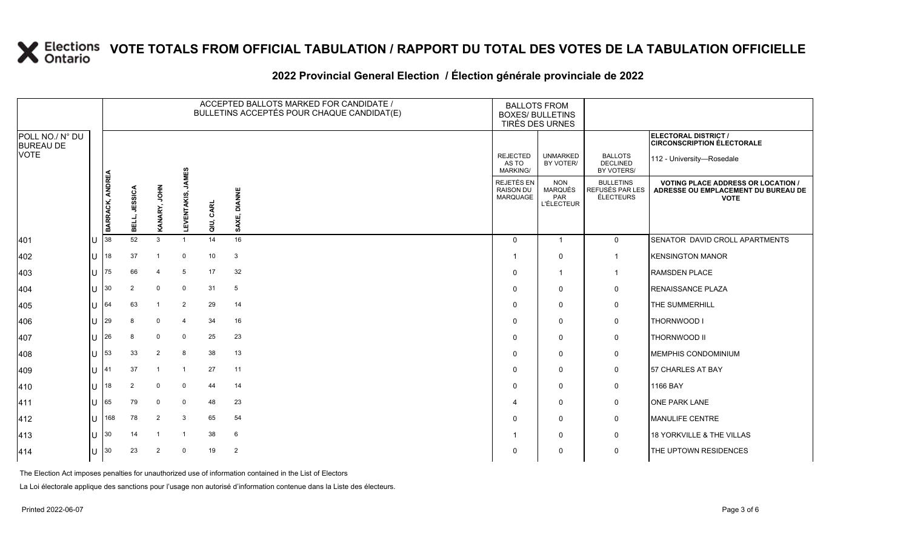#### **2022 Provincial General Election / Élection générale provinciale de 2022**

|                                     |   |                 |                |                |                             |           | ACCEPTED BALLOTS MARKED FOR CANDIDATE /<br>BULLETINS ACCEPTÉS POUR CHAQUE CANDIDAT(E) | <b>BALLOTS FROM</b><br><b>BOXES/ BULLETINS</b><br>TIRÉS DES URNES |                                                   |                                                  |                                                                                                 |
|-------------------------------------|---|-----------------|----------------|----------------|-----------------------------|-----------|---------------------------------------------------------------------------------------|-------------------------------------------------------------------|---------------------------------------------------|--------------------------------------------------|-------------------------------------------------------------------------------------------------|
| POLL NO./ N° DU<br><b>BUREAU DE</b> |   |                 |                |                |                             |           |                                                                                       |                                                                   |                                                   |                                                  | <b>ELECTORAL DISTRICT /</b><br><b>CIRCONSCRIPTION ÉLECTORALE</b>                                |
| <b>VOTE</b>                         |   |                 |                |                |                             |           |                                                                                       | <b>REJECTED</b><br>AS TO<br><b>MARKING/</b>                       | <b>UNMARKED</b><br>BY VOTER/                      | <b>BALLOTS</b><br><b>DECLINED</b><br>BY VOTERS/  | 112 - University-Rosedale                                                                       |
|                                     |   | BARRACK, ANDREA | BELL, JESSICA  | KANARY, JOHN   | <b>JAMES</b><br>LEVENTAKIS, | QIU, CARL | <b>DIANNE</b><br>SAXE,                                                                | REJETÉS EN<br><b>RAISON DU</b><br>MARQUAGE                        | <b>NON</b><br>MARQUÉS<br>PAR<br><b>L'ÉLECTEUR</b> | <b>BULLETINS</b><br>REFUSÉS PAR LES<br>ÉLECTEURS | <b>VOTING PLACE ADDRESS OR LOCATION /</b><br>ADRESSE OU EMPLACEMENT DU BUREAU DE<br><b>VOTE</b> |
| 401                                 | U | 38              | 52             | 3              | -1                          | 14        | 16                                                                                    | $\mathbf 0$                                                       | $\overline{1}$                                    | $\mathsf{O}$                                     | SENATOR DAVID CROLL APARTMENTS                                                                  |
| 402                                 | U | 18              | 37             | -1             | $\mathbf 0$                 | 10        | $\mathbf{3}$                                                                          |                                                                   | 0                                                 | -1                                               | <b>KENSINGTON MANOR</b>                                                                         |
| 403                                 | U | 75              | 66             | 4              | 5                           | 17        | 32                                                                                    | $\Omega$                                                          | $\overline{1}$                                    | -1                                               | <b>RAMSDEN PLACE</b>                                                                            |
| 404                                 |   | $\mathbf{U}$ 30 | $\overline{2}$ | $\mathbf 0$    | 0                           | 31        | 5                                                                                     | $\Omega$                                                          | 0                                                 | 0                                                | <b>RENAISSANCE PLAZA</b>                                                                        |
| 405                                 | U | 64              | 63             | $\overline{1}$ | $\overline{2}$              | 29        | 14                                                                                    | $\Omega$                                                          | 0                                                 | 0                                                | THE SUMMERHILL                                                                                  |
| 406                                 | U | 29              |                | $\mathbf 0$    | 4                           | 34        | 16                                                                                    | $\Omega$                                                          | $\mathbf 0$                                       | 0                                                | THORNWOOD I                                                                                     |
| 407                                 | U | 26              | 8              | 0              | 0                           | 25        | 23                                                                                    | $\Omega$                                                          | 0                                                 | 0                                                | <b>THORNWOOD II</b>                                                                             |
| 408                                 | U | 53              | 33             | 2              | 8                           | 38        | 13                                                                                    | $\Omega$                                                          | $\Omega$                                          | 0                                                | MEMPHIS CONDOMINIUM                                                                             |
| 409                                 |   | $11$ 41         | 37             | $\mathbf{1}$   | -1                          | 27        | 11                                                                                    | $\Omega$                                                          | $\mathbf 0$                                       | 0                                                | 57 CHARLES AT BAY                                                                               |
| 410                                 | U | 18              | $\overline{2}$ | $\mathbf 0$    | 0                           | 44        | 14                                                                                    | $\Omega$                                                          | 0                                                 | 0                                                | 1166 BAY                                                                                        |
| 411                                 | U | 65              | 79             | $\mathbf 0$    | $\mathbf 0$                 | 48        | 23                                                                                    | 4                                                                 | 0                                                 | 0                                                | <b>ONE PARK LANE</b>                                                                            |
| 412                                 | U | 168             | 78             | 2              | 3                           | 65        | 54                                                                                    | $\Omega$                                                          | $\mathbf 0$                                       | 0                                                | MANULIFE CENTRE                                                                                 |
| 413                                 | U | $ 30\rangle$    | 14             | $\overline{1}$ | -1                          | 38        | 6                                                                                     |                                                                   | 0                                                 | 0                                                | 18 YORKVILLE & THE VILLAS                                                                       |
| 414                                 | U | 30              | 23             | 2              | $\mathbf 0$                 | 19        | $\overline{2}$                                                                        | 0                                                                 | 0                                                 | 0                                                | THE UPTOWN RESIDENCES                                                                           |

The Election Act imposes penalties for unauthorized use of information contained in the List of Electors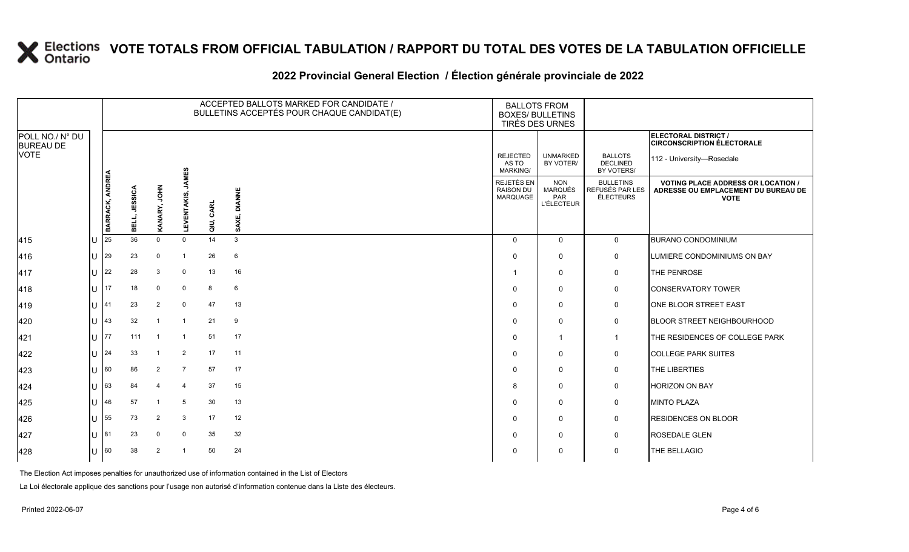### **2022 Provincial General Election / Élection générale provinciale de 2022**

|                                     |    | ACCEPTED BALLOTS MARKED FOR CANDIDATE /<br>BULLETINS ACCEPTÉS POUR CHAQUE CANDIDAT(E) |               |                         |                             |           |                        |                                             | <b>BALLOTS FROM</b><br><b>BOXES/ BULLETINS</b><br>TIRÉS DES URNES |                                                  |                                                                                                 |
|-------------------------------------|----|---------------------------------------------------------------------------------------|---------------|-------------------------|-----------------------------|-----------|------------------------|---------------------------------------------|-------------------------------------------------------------------|--------------------------------------------------|-------------------------------------------------------------------------------------------------|
| POLL NO./ N° DU<br><b>BUREAU DE</b> |    |                                                                                       |               |                         |                             |           |                        |                                             |                                                                   |                                                  | ELECTORAL DISTRICT /<br><b>CIRCONSCRIPTION ÉLECTORALE</b>                                       |
| <b>VOTE</b>                         |    |                                                                                       |               |                         |                             |           |                        | <b>REJECTED</b><br>AS TO<br><b>MARKING/</b> | <b>UNMARKED</b><br>BY VOTER/                                      | <b>BALLOTS</b><br><b>DECLINED</b><br>BY VOTERS/  | 112 - University-Rosedale                                                                       |
|                                     |    | BARRACK, ANDREA                                                                       | BELL, JESSICA | KANARY, JOHN            | <b>JAMES</b><br>LEVENTAKIS, | QIU, CARL | <b>DIANNE</b><br>SAXE, | REJETÉS EN<br><b>RAISON DU</b><br>MARQUAGE  | <b>NON</b><br><b>MARQUÉS</b><br>PAR<br>L'ÉLECTEUR                 | <b>BULLETINS</b><br>REFUSÉS PAR LES<br>ÉLECTEURS | <b>VOTING PLACE ADDRESS OR LOCATION /</b><br>ADRESSE OU EMPLACEMENT DU BUREAU DE<br><b>VOTE</b> |
| 415                                 |    | 25                                                                                    | 36            | $\Omega$                | $\Omega$                    | 14        | 3                      | $\Omega$                                    | $\mathbf 0$                                                       | $\overline{0}$                                   | <b>BURANO CONDOMINIUM</b>                                                                       |
| 416                                 | U  | 29                                                                                    | 23            | $\mathbf 0$             | -1                          | 26        | $6\phantom{1}6$        | $\Omega$                                    | 0                                                                 | 0                                                | LUMIERE CONDOMINIUMS ON BAY                                                                     |
| 417                                 | U  | 22                                                                                    | 28            | 3                       | $\mathbf 0$                 | 13        | 16                     |                                             | $\mathbf 0$                                                       | $\pmb{0}$                                        | THE PENROSE                                                                                     |
| 418                                 | U  | 17                                                                                    | 18            | $\mathbf 0$             | $\mathbf 0$                 | 8         | $6\phantom{1}6$        | $\Omega$                                    | $\mathbf 0$                                                       | $\mathsf{O}$                                     | <b>CONSERVATORY TOWER</b>                                                                       |
| 419                                 | U  | 41                                                                                    | 23            | 2                       | $\mathbf 0$                 | 47        | 13                     | $\Omega$                                    | $\mathbf 0$                                                       | 0                                                | ONE BLOOR STREET EAST                                                                           |
| 420                                 | U  | 43                                                                                    | 32            | $\overline{1}$          | $\overline{1}$              | 21        | 9                      | $\Omega$                                    | $\mathbf 0$                                                       | 0                                                | BLOOR STREET NEIGHBOURHOOD                                                                      |
| 421                                 | U. | 77                                                                                    | 111           | $\overline{1}$          | $\overline{1}$              | 51        | 17                     | $\Omega$                                    | $\overline{1}$                                                    | $\overline{1}$                                   | THE RESIDENCES OF COLLEGE PARK                                                                  |
| 422                                 | U  | 24                                                                                    | 33            |                         | 2                           | 17        | 11                     | $\Omega$                                    | $\mathbf 0$                                                       | $\mathsf{O}$                                     | <b>COLLEGE PARK SUITES</b>                                                                      |
| 423                                 | U  | 60                                                                                    | 86            | 2                       | $\overline{7}$              | 57        | 17                     | $\Omega$                                    | $\mathbf 0$                                                       | 0                                                | THE LIBERTIES                                                                                   |
| 424                                 | U  | 63                                                                                    | 84            | $\overline{\mathbf{4}}$ | $\overline{4}$              | 37        | 15                     | 8                                           | $\Omega$                                                          | $\mathbf 0$                                      | <b>HORIZON ON BAY</b>                                                                           |
| 425                                 | U  | 46                                                                                    | 57            | $\overline{1}$          | 5                           | 30        | 13                     | $\Omega$                                    | $\mathbf 0$                                                       | 0                                                | <b>MINTO PLAZA</b>                                                                              |
| 426                                 | U  | 55                                                                                    | 73            | 2                       | 3                           | 17        | 12                     | $\Omega$                                    | $\mathbf 0$                                                       | $\mathsf{O}$                                     | <b>RESIDENCES ON BLOOR</b>                                                                      |
| 427                                 | U  | 81                                                                                    | 23            | $\mathbf 0$             | $\mathbf 0$                 | 35        | 32                     | $\Omega$                                    | $\mathbf 0$                                                       | $\mathsf{O}$                                     | <b>ROSEDALE GLEN</b>                                                                            |
| 428                                 | U  | 60                                                                                    | 38            | 2                       | -1                          | 50        | 24                     | $\Omega$                                    | 0                                                                 | $\mathbf 0$                                      | THE BELLAGIO                                                                                    |

The Election Act imposes penalties for unauthorized use of information contained in the List of Electors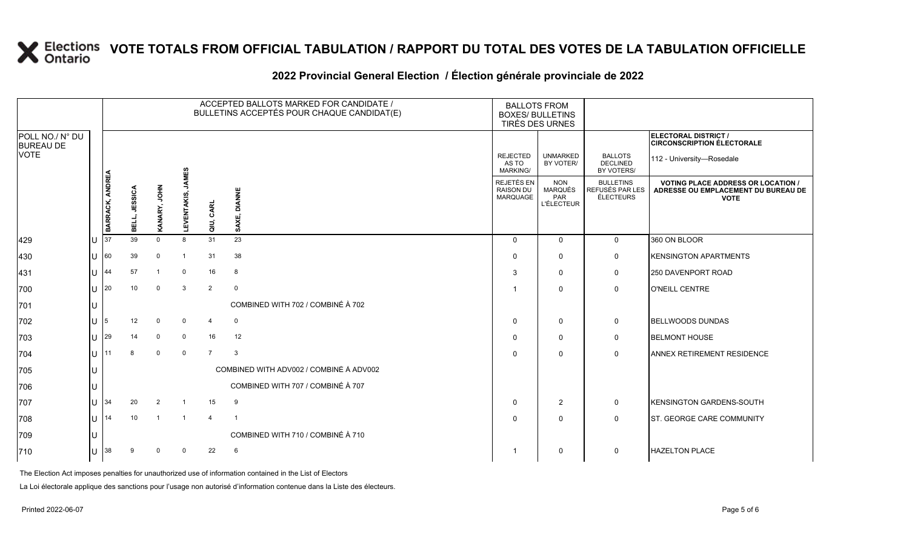### **2022 Provincial General Election / Élection générale provinciale de 2022**

|                                     |   |                 |               |              |                   | ACCEPTED BALLOTS MARKED FOR CANDIDATE /<br>BULLETINS ACCEPTÉS POUR CHAQUE CANDIDAT(E) | <b>BALLOTS FROM</b><br><b>BOXES/ BULLETINS</b> | TIRÉS DES URNES                            |                                                   |                                                  |                                                                                                 |
|-------------------------------------|---|-----------------|---------------|--------------|-------------------|---------------------------------------------------------------------------------------|------------------------------------------------|--------------------------------------------|---------------------------------------------------|--------------------------------------------------|-------------------------------------------------------------------------------------------------|
| POLL NO./ N° DU<br><b>BUREAU DE</b> |   |                 |               |              |                   |                                                                                       |                                                |                                            |                                                   |                                                  | ELECTORAL DISTRICT /<br><b>CIRCONSCRIPTION ÉLECTORALE</b>                                       |
| VOTE                                |   |                 |               |              |                   |                                                                                       |                                                | <b>REJECTED</b><br>AS TO<br>MARKING/       | <b>UNMARKED</b><br>BY VOTER/                      | <b>BALLOTS</b><br><b>DECLINED</b><br>BY VOTERS/  | 112 - University-Rosedale                                                                       |
|                                     |   | BARRACK, ANDREA | BELL, JESSICA | KANARY, JOHN | LEVENTAKIS, JAMES | QIU, CARL                                                                             | SAXE, DIANNE                                   | REJETÉS EN<br><b>RAISON DU</b><br>MARQUAGE | <b>NON</b><br>MARQUÉS<br>PAR<br><b>L'ÉLECTEUR</b> | <b>BULLETINS</b><br>REFUSÉS PAR LES<br>ÉLECTEURS | <b>VOTING PLACE ADDRESS OR LOCATION /</b><br>ADRESSE OU EMPLACEMENT DU BUREAU DE<br><b>VOTE</b> |
| 429                                 |   | 37              | 39            | $\mathbf 0$  | 8                 | 31                                                                                    | 23                                             | $\Omega$                                   | $\mathbf{0}$                                      | $\mathbf 0$                                      | 360 ON BLOOR                                                                                    |
| 430                                 | U | 60              | 39            | $\Omega$     |                   | 31                                                                                    | 38                                             | 0                                          | $\mathbf{0}$                                      | 0                                                | <b>IKENSINGTON APARTMENTS</b>                                                                   |
| 431                                 |   | 44              | 57            |              | $\mathbf 0$       | 16                                                                                    | 8                                              | 3                                          | $\mathbf 0$                                       | 0                                                | 250 DAVENPORT ROAD                                                                              |
| 700                                 | U | 20              | 10            | $\mathbf 0$  | 3                 | $\overline{2}$                                                                        | $\overline{0}$                                 |                                            | $\mathbf{0}$                                      | $\mathbf 0$                                      | <b>O'NEILL CENTRE</b>                                                                           |
| 701                                 |   |                 |               |              |                   |                                                                                       | COMBINED WITH 702 / COMBINÉ À 702              |                                            |                                                   |                                                  |                                                                                                 |
| 702                                 |   |                 | 12            | $\mathbf 0$  | $\mathbf 0$       | $\overline{4}$                                                                        | $\mathbf 0$                                    | $\Omega$                                   | $\mathbf 0$                                       | 0                                                | <b>BELLWOODS DUNDAS</b>                                                                         |
| 703                                 | U | 29              | 14            | $\mathbf 0$  | $\mathbf 0$       | 16                                                                                    | 12                                             | 0                                          | $\mathbf{0}$                                      | $\mathbf 0$                                      | <b>BELMONT HOUSE</b>                                                                            |
| 704                                 | U |                 | 8             | $\mathbf 0$  | $\mathbf 0$       | $\overline{7}$                                                                        | $\mathbf{3}$                                   | $\Omega$                                   | $\Omega$                                          | $\mathbf 0$                                      | <b>ANNEX RETIREMENT RESIDENCE</b>                                                               |
| 705                                 |   |                 |               |              |                   |                                                                                       | COMBINED WITH ADV002 / COMBINÉ À ADV002        |                                            |                                                   |                                                  |                                                                                                 |
| 706                                 |   |                 |               |              |                   |                                                                                       | COMBINED WITH 707 / COMBINÉ À 707              |                                            |                                                   |                                                  |                                                                                                 |
| 707                                 | U | 34              | 20            | 2            |                   | 15                                                                                    | 9                                              | $\Omega$                                   | $\overline{2}$                                    | 0                                                | <b>KENSINGTON GARDENS-SOUTH</b>                                                                 |
| 708                                 | U | 14              | 10            |              |                   | $\overline{4}$                                                                        | $\overline{\mathbf{1}}$                        | $\Omega$                                   | $\mathbf 0$                                       | $\mathbf 0$                                      | <b>ST. GEORGE CARE COMMUNITY</b>                                                                |
| 709                                 |   |                 |               |              |                   |                                                                                       | COMBINED WITH 710 / COMBINÉ À 710              |                                            |                                                   |                                                  |                                                                                                 |
| 710                                 |   | 38              | 9             | $\Omega$     | $\Omega$          | 22                                                                                    | 6                                              |                                            | $\mathbf 0$                                       | $\mathbf 0$                                      | <b>HAZELTON PLACE</b>                                                                           |

The Election Act imposes penalties for unauthorized use of information contained in the List of Electors